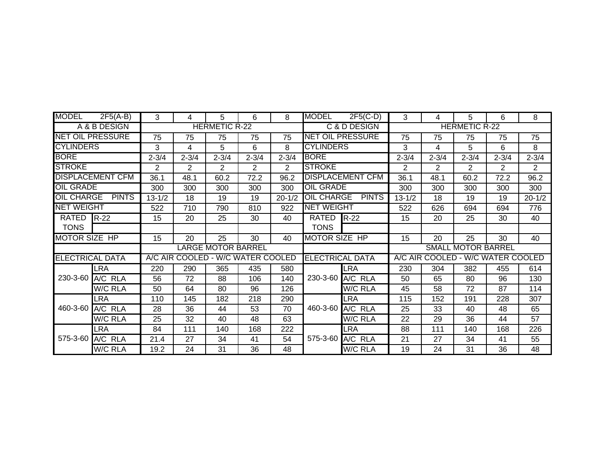| <b>MODEL</b>            | $2F5(A-B)$     | 3                                 | 4         | 5                    | 6              | 8          | <b>MODEL</b>              | $2F5(C-D)$              | 3                                 | 4              | 5              | 6              | 8          |  |
|-------------------------|----------------|-----------------------------------|-----------|----------------------|----------------|------------|---------------------------|-------------------------|-----------------------------------|----------------|----------------|----------------|------------|--|
| A & B DESIGN            |                |                                   |           | <b>HERMETIC R-22</b> |                |            |                           | C & D DESIGN            | <b>HERMETIC R-22</b>              |                |                |                |            |  |
| <b>NET OIL PRESSURE</b> |                | 75                                | 75        | 75                   | 75             | 75         |                           | <b>NET OIL PRESSURE</b> | 75                                | 75             | 75             | 75             | 75         |  |
| <b>CYLINDERS</b>        |                | 3                                 | 4         | 5                    | 6              | 8          | <b>CYLINDERS</b>          |                         | 3                                 | 4              | 5              | 6              | 8          |  |
| <b>BORE</b>             |                | $2 - 3/4$                         | $2 - 3/4$ | $2 - 3/4$            | $2 - 3/4$      | $2 - 3/4$  | <b>BORE</b>               |                         | $2 - 3/4$                         | $2 - 3/4$      | $2 - 3/4$      | $2 - 3/4$      | $2 - 3/4$  |  |
| <b>STROKE</b>           |                | 2                                 | 2         | $\overline{2}$       | $\overline{2}$ | 2          | <b>STROKE</b>             |                         | 2                                 | $\overline{2}$ | $\overline{2}$ | $\overline{2}$ | 2          |  |
| <b>DISPLACEMENT CFM</b> |                | 36.1                              | 48.1      | 60.2                 | 72.2           | 96.2       |                           | <b>DISPLACEMENT CFM</b> | 36.1                              | 48.1           | 60.2           | 72.2           | 96.2       |  |
| <b>OIL GRADE</b>        |                | 300                               | 300       | 300                  | 300            | 300        | <b>OIL GRADE</b>          |                         | 300                               | 300            | 300            | 300            | 300        |  |
| <b>OIL CHARGE</b>       | <b>PINTS</b>   | $13 - 1/2$                        | 18        | 19                   | 19             | $20 - 1/2$ | <b>OIL CHARGE</b>         | <b>PINTS</b>            | $13 - 1/2$                        | 18             | 19             | 19             | $20 - 1/2$ |  |
| <b>NET WEIGHT</b>       |                | 522                               | 710       | 790                  | 810            | 922        | <b>NET WEIGHT</b>         |                         | 522                               | 626            | 694            | 694            | 776        |  |
| RATED                   | $R-22$         | 15                                | 20        | 25                   | 30             | 40         | <b>RATED</b>              | $R-22$                  | 15                                | 20             | 25             | 30             | 40         |  |
| <b>TONS</b>             |                |                                   |           |                      |                |            | <b>TONS</b>               |                         |                                   |                |                |                |            |  |
| <b>MOTOR SIZE HP</b>    |                | 15                                | 20        | 25                   | 30             | 40         | <b>MOTOR SIZE HP</b>      |                         | 15                                | 20             | 25             | 30             | 40         |  |
|                         |                | <b>LARGE MOTOR BARREL</b>         |           |                      |                |            | <b>SMALL MOTOR BARREL</b> |                         |                                   |                |                |                |            |  |
| <b>ELECTRICAL DATA</b>  |                | A/C AIR COOLED - W/C WATER COOLED |           |                      |                |            | <b>ELECTRICAL DATA</b>    |                         | A/C AIR COOLED - W/C WATER COOLED |                |                |                |            |  |
| 230-3-60 A/C RLA        | <b>LRA</b>     | 220                               | 290       | 365                  | 435            | 580        | 230-3-60                  | LRA                     | 230                               | 304            | 382            | 455            | 614        |  |
|                         |                | 56                                | 72        | 88                   | 106            | 140        |                           | A/C RLA                 | 50                                | 65             | 80             | 96             | 130        |  |
|                         | <b>W/C RLA</b> | 50                                | 64        | 80                   | 96             | 126        |                           | W/C RLA                 | 45                                | 58             | 72             | 87             | 114        |  |
| 460-3-60                | LRA            | 110                               | 145       | 182                  | 218            | 290        | 460-3-60                  | LRA                     | 115                               | 152            | 191            | 228            | 307        |  |
|                         | A/C RLA        | 28                                | 36        | 44                   | 53             | 70         |                           | A/C RLA                 | 25                                | 33             | 40             | 48             | 65         |  |
|                         | <b>W/C RLA</b> | 25                                | 32        | 40                   | 48             | 63         |                           | W/C RLA                 | 22                                | 29             | 36             | 44             | 57         |  |
| 575-3-60 A/C RLA        | LRA            | 84                                | 111       | 140                  | 168            | 222        | 575-3-60                  | LRA                     | 88                                | 111            | 140            | 168            | 226        |  |
|                         |                | 21.4                              | 27        | 34                   | 41             | 54         |                           | A/C RLA                 | 21                                | 27             | 34             | 41             | 55         |  |
|                         | <b>W/C RLA</b> | 19.2                              | 24        | 31                   | 36             | 48         |                           | <b>W/C RLA</b>          | 19                                | 24             | 31             | 36             | 48         |  |